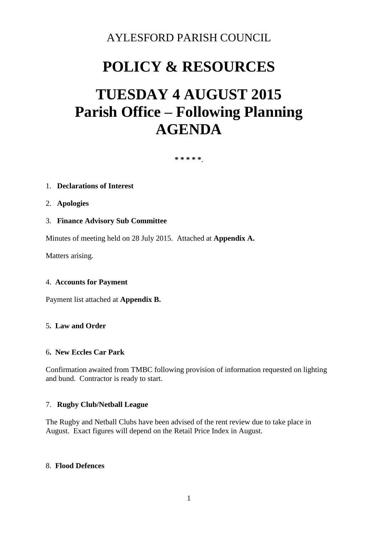### AYLESFORD PARISH COUNCIL

## **POLICY & RESOURCES**

# **TUESDAY 4 AUGUST 2015 Parish Office – Following Planning AGENDA**

**\* \* \* \* \***.

#### 1. **Declarations of Interest**

- 2. **Apologies**
- 3. **Finance Advisory Sub Committee**

Minutes of meeting held on 28 July 2015. Attached at **Appendix A.** 

Matters arising.

#### 4. **Accounts for Payment**

Payment list attached at **Appendix B.** 

#### 5**. Law and Order**

#### 6**. New Eccles Car Park**

Confirmation awaited from TMBC following provision of information requested on lighting and bund. Contractor is ready to start.

#### 7. **Rugby Club/Netball League**

The Rugby and Netball Clubs have been advised of the rent review due to take place in August. Exact figures will depend on the Retail Price Index in August.

#### 8. **Flood Defences**